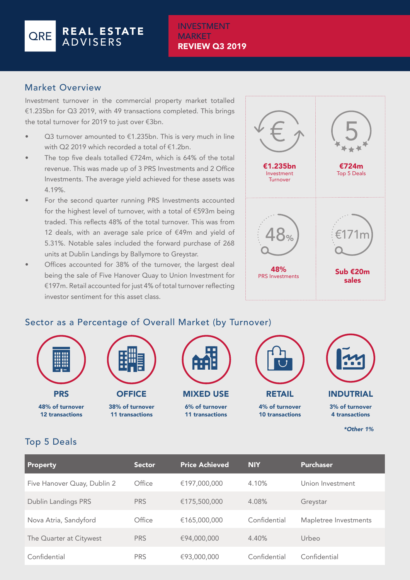#### REAL ESTATE **ORE** ADVISERS

#### INVESTMENT **MARKET** REVIEW Q3 2019

### Market Overview

Investment turnover in the commercial property market totalled €1.235bn for Q3 2019, with 49 transactions completed. This brings the total turnover for 2019 to just over €3bn.

- Q3 turnover amounted to  $€1.235$ bn. This is very much in line with Q2 2019 which recorded a total of €1.2bn.
- The top five deals totalled  $€724m$ , which is 64% of the total revenue. This was made up of 3 PRS Investments and 2 Office Investments. The average yield achieved for these assets was 4.19%.
- For the second quarter running PRS Investments accounted for the highest level of turnover, with a total of €593m being traded. This reflects 48% of the total turnover. This was from 12 deals, with an average sale price of €49m and yield of 5.31%. Notable sales included the forward purchase of 268 units at Dublin Landings by Ballymore to Greystar.
- Offices accounted for 38% of the turnover, the largest deal being the sale of Five Hanover Quay to Union Investment for €197m. Retail accounted for just 4% of total turnover reflecting investor sentiment for this asset class.



*\*Other 1%*

# Sector as a Percentage of Overall Market (by Turnover)



## Top 5 Deals

| <b>Property</b>             | <b>Sector</b> | <b>Price Achieved</b> | <b>NIY</b>   | <b>Purchaser</b>      |
|-----------------------------|---------------|-----------------------|--------------|-----------------------|
| Five Hanover Quay, Dublin 2 | Office        | €197,000,000          | 4.10%        | Union Investment      |
| <b>Dublin Landings PRS</b>  | <b>PRS</b>    | €175,500,000          | 4.08%        | Greystar              |
| Nova Atria, Sandyford       | Office        | €165,000,000          | Confidential | Mapletree Investments |
| The Quarter at Citywest     | <b>PRS</b>    | €94,000,000           | 4.40%        | Urbeo                 |
| Confidential                | <b>PRS</b>    | €93,000,000           | Confidential | Confidential          |